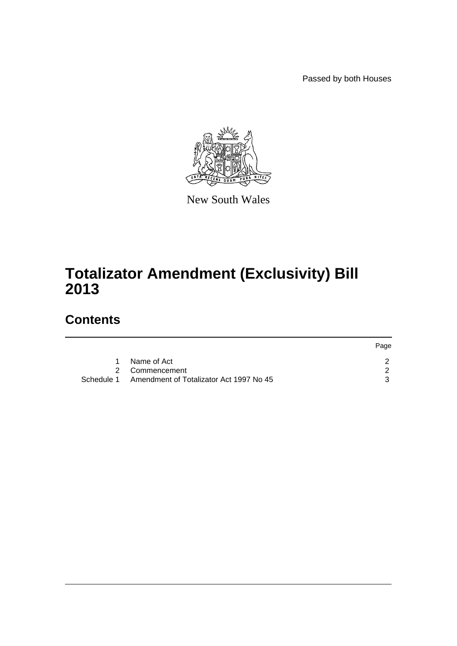Passed by both Houses

Page



New South Wales

# **Totalizator Amendment (Exclusivity) Bill 2013**

# **Contents**

|            |                                         | <b>Page</b> |
|------------|-----------------------------------------|-------------|
| 1.         | Name of Act                             |             |
|            | 2 Commencement                          |             |
| Schedule 1 | Amendment of Totalizator Act 1997 No 45 |             |
|            |                                         |             |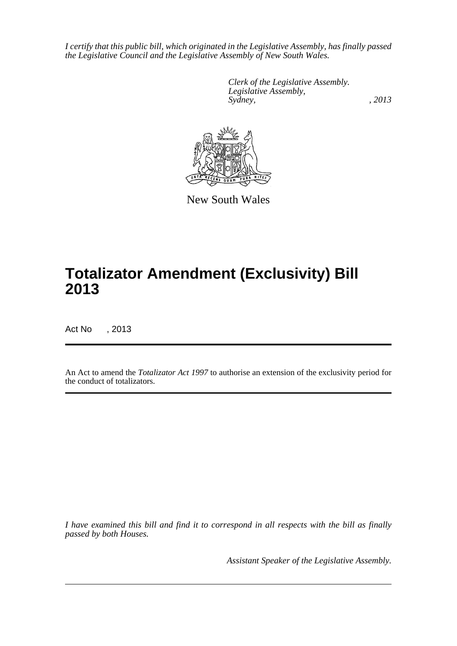*I certify that this public bill, which originated in the Legislative Assembly, has finally passed the Legislative Council and the Legislative Assembly of New South Wales.*

> *Clerk of the Legislative Assembly. Legislative Assembly, Sydney, , 2013*



New South Wales

# **Totalizator Amendment (Exclusivity) Bill 2013**

Act No , 2013

An Act to amend the *Totalizator Act 1997* to authorise an extension of the exclusivity period for the conduct of totalizators.

*I have examined this bill and find it to correspond in all respects with the bill as finally passed by both Houses.*

*Assistant Speaker of the Legislative Assembly.*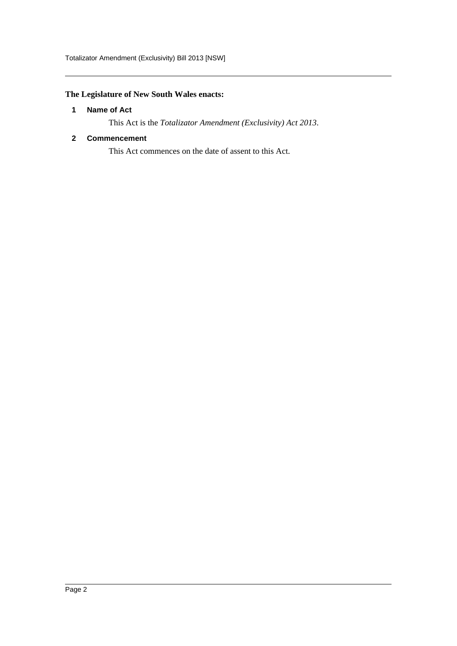Totalizator Amendment (Exclusivity) Bill 2013 [NSW]

## <span id="page-2-0"></span>**The Legislature of New South Wales enacts:**

#### **1 Name of Act**

This Act is the *Totalizator Amendment (Exclusivity) Act 2013*.

#### <span id="page-2-1"></span>**2 Commencement**

This Act commences on the date of assent to this Act.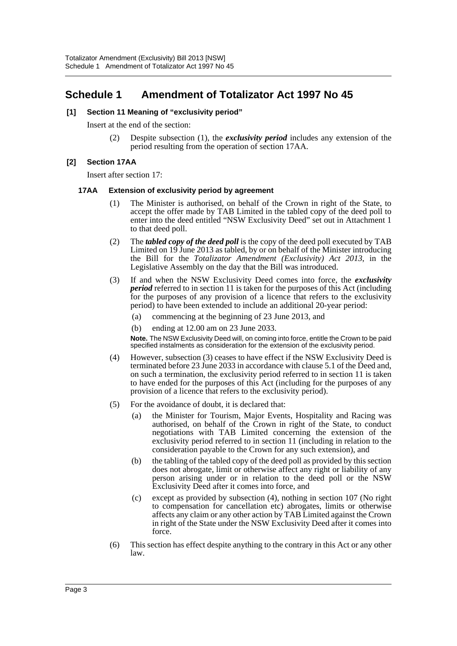# <span id="page-3-0"></span>**Schedule 1 Amendment of Totalizator Act 1997 No 45**

#### **[1] Section 11 Meaning of "exclusivity period"**

Insert at the end of the section:

(2) Despite subsection (1), the *exclusivity period* includes any extension of the period resulting from the operation of section 17AA.

#### **[2] Section 17AA**

Insert after section 17:

#### **17AA Extension of exclusivity period by agreement**

- (1) The Minister is authorised, on behalf of the Crown in right of the State, to accept the offer made by TAB Limited in the tabled copy of the deed poll to enter into the deed entitled "NSW Exclusivity Deed" set out in Attachment 1 to that deed poll.
- (2) The *tabled copy of the deed poll* is the copy of the deed poll executed by TAB Limited on 19 June 2013 as tabled, by or on behalf of the Minister introducing the Bill for the *Totalizator Amendment (Exclusivity) Act 2013*, in the Legislative Assembly on the day that the Bill was introduced.
- (3) If and when the NSW Exclusivity Deed comes into force, the *exclusivity period* referred to in section 11 is taken for the purposes of this Act (including for the purposes of any provision of a licence that refers to the exclusivity period) to have been extended to include an additional 20-year period:
	- (a) commencing at the beginning of 23 June 2013, and
	- (b) ending at 12.00 am on 23 June 2033.

**Note.** The NSW Exclusivity Deed will, on coming into force, entitle the Crown to be paid specified instalments as consideration for the extension of the exclusivity period.

- (4) However, subsection (3) ceases to have effect if the NSW Exclusivity Deed is terminated before 23 June 2033 in accordance with clause 5.1 of the Deed and, on such a termination, the exclusivity period referred to in section 11 is taken to have ended for the purposes of this Act (including for the purposes of any provision of a licence that refers to the exclusivity period).
- (5) For the avoidance of doubt, it is declared that:
	- (a) the Minister for Tourism, Major Events, Hospitality and Racing was authorised, on behalf of the Crown in right of the State, to conduct negotiations with TAB Limited concerning the extension of the exclusivity period referred to in section 11 (including in relation to the consideration payable to the Crown for any such extension), and
	- (b) the tabling of the tabled copy of the deed poll as provided by this section does not abrogate, limit or otherwise affect any right or liability of any person arising under or in relation to the deed poll or the NSW Exclusivity Deed after it comes into force, and
	- (c) except as provided by subsection (4), nothing in section 107 (No right to compensation for cancellation etc) abrogates, limits or otherwise affects any claim or any other action by TAB Limited against the Crown in right of the State under the NSW Exclusivity Deed after it comes into force.
- (6) This section has effect despite anything to the contrary in this Act or any other law.